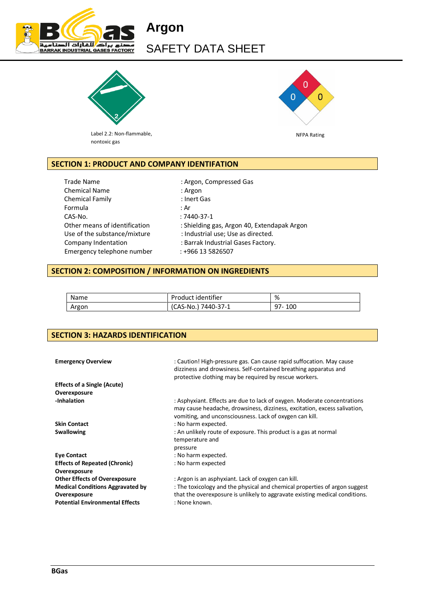

# **Argon**  SAFETY DATA SHEET



Label 2.2: Non-flammable, nontoxic gas



# **SECTION 1: PRODUCT AND COMPANY IDENTIFATION**

Trade Name : Argon, Compressed Gas Chemical Name : Argon Chemical Family **Example 20 Institute Chemical Family**  $\cdot$  Inert Gas Formula : Ar CAS-No. : 7440-37-1 Emergency telephone number : +966 13 5826507

Other means of identification : Shielding gas, Argon 40, Extendapak Argon Use of the substance/mixture : Industrial use; Use as directed. Company Indentation : Barrak Industrial Gases Factory.

## **SECTION 2: COMPOSITION / INFORMATION ON INGREDIENTS**

| Name  | Product identifier  | %          |
|-------|---------------------|------------|
| Argon | (CAS-No.) 7440-37-1 | 100<br>97- |

## **SECTION 3: HAZARDS IDENTIFICATION**

| <b>Emergency Overview</b>               | : Caution! High-pressure gas. Can cause rapid suffocation. May cause<br>dizziness and drowsiness. Self-contained breathing apparatus and<br>protective clothing may be required by rescue workers.               |
|-----------------------------------------|------------------------------------------------------------------------------------------------------------------------------------------------------------------------------------------------------------------|
| <b>Effects of a Single (Acute)</b>      |                                                                                                                                                                                                                  |
| Overexposure                            |                                                                                                                                                                                                                  |
| -Inhalation                             | : Asphyxiant. Effects are due to lack of oxygen. Moderate concentrations<br>may cause headache, drowsiness, dizziness, excitation, excess salivation,<br>vomiting, and unconsciousness. Lack of oxygen can kill. |
| <b>Skin Contact</b>                     | : No harm expected.                                                                                                                                                                                              |
| <b>Swallowing</b>                       | : An unlikely route of exposure. This product is a gas at normal<br>temperature and<br>pressure                                                                                                                  |
| <b>Eye Contact</b>                      | : No harm expected.                                                                                                                                                                                              |
| <b>Effects of Repeated (Chronic)</b>    | : No harm expected                                                                                                                                                                                               |
| Overexposure                            |                                                                                                                                                                                                                  |
| <b>Other Effects of Overexposure</b>    | : Argon is an asphyxiant. Lack of oxygen can kill.                                                                                                                                                               |
| <b>Medical Conditions Aggravated by</b> | : The toxicology and the physical and chemical properties of argon suggest                                                                                                                                       |
| Overexposure                            | that the overexposure is unlikely to aggravate existing medical conditions.                                                                                                                                      |
| <b>Potential Environmental Effects</b>  | : None known.                                                                                                                                                                                                    |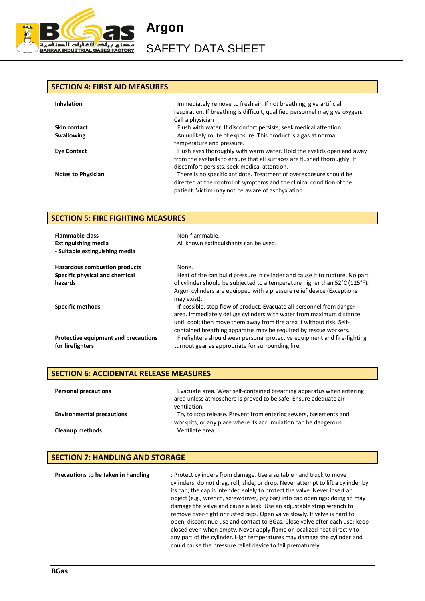

SAFETY DATA SHEET

**Argon** 

#### **SECTION 4: FIRST AID MEASURES**

| <b>Inhalation</b>         | : Immediately remove to fresh air. If not breathing, give artificial<br>respiration. If breathing is difficult, qualified personnel may give oxygen.<br>Call a physician |
|---------------------------|--------------------------------------------------------------------------------------------------------------------------------------------------------------------------|
| Skin contact              | : Flush with water. If discomfort persists, seek medical attention.                                                                                                      |
| <b>Swallowing</b>         | : An unlikely route of exposure. This product is a gas at normal                                                                                                         |
|                           | temperature and pressure.                                                                                                                                                |
| <b>Eye Contact</b>        | : Flush eyes thoroughly with warm water. Hold the eyelids open and away                                                                                                  |
|                           | from the eyeballs to ensure that all surfaces are flushed thoroughly. If                                                                                                 |
|                           | discomfort persists, seek medical attention.                                                                                                                             |
| <b>Notes to Physician</b> | : There is no specific antidote. Treatment of overexposure should be                                                                                                     |
|                           | directed at the control of symptoms and the clinical condition of the                                                                                                    |
|                           | patient. Victim may not be aware of asphyxiation.                                                                                                                        |

## **SECTION 5: FIRE FIGHTING MEASURES**

| <b>Flammable class</b><br><b>Extinguishing media</b><br>- Suitable extinguishing media | : Non-flammable.<br>: All known extinguishants can be used.                                                                                                                                                                                                                                 |
|----------------------------------------------------------------------------------------|---------------------------------------------------------------------------------------------------------------------------------------------------------------------------------------------------------------------------------------------------------------------------------------------|
| <b>Hazardous combustion products</b>                                                   | : None.                                                                                                                                                                                                                                                                                     |
| Specific physical and chemical                                                         | : Heat of fire can build pressure in cylinder and cause it to rupture. No part                                                                                                                                                                                                              |
| hazards                                                                                | of cylinder should be subjected to a temperature higher than 52°C (125°F).<br>Argon cylinders are equipped with a pressure relief device (Exceptions<br>may exist).                                                                                                                         |
| <b>Specific methods</b>                                                                | : If possible, stop flow of product. Evacuate all personnel from danger<br>area. Immediately deluge cylinders with water from maximum distance<br>until cool; then move them away from fire area if without risk. Self-<br>contained breathing apparatus may be required by rescue workers. |
| Protective equipment and precautions<br>for firefighters                               | : Firefighters should wear personal protective equipment and fire-fighting<br>turnout gear as appropriate for surrounding fire.                                                                                                                                                             |

# **SECTION 6: ACCIDENTAL RELEASE MEASURES Personal precautions** : Evacuate area. Wear self-contained breathing apparatus when entering area unless atmosphere is proved to be safe. Ensure adequate air ventilation. **Environmental precautions** : Try to stop release. Prevent from entering sewers, basements and

workpits, or any place where its accumulation can be dangerous. **Cleanup methods** : Ventilate area.

## **SECTION 7: HANDLING AND STORAGE**

**Precautions to be taken in handling : Protect cylinders from damage. Use a suitable hand truck to move** cylinders; do not drag, roll, slide, or drop. Never attempt to lift a cylinder by its cap; the cap is intended solely to protect the valve. Never insert an object (e.g., wrench, screwdriver, pry bar) into cap openings; doing so may damage the valve and cause a leak. Use an adjustable strap wrench to remove over-tight or rusted caps. Open valve slowly. If valve is hard to open, discontinue use and contact to BGas. Close valve after each use; keep closed even when empty. Never apply flame or localized heat directly to any part of the cylinder. High temperatures may damage the cylinder and could cause the pressure relief device to fail prematurely.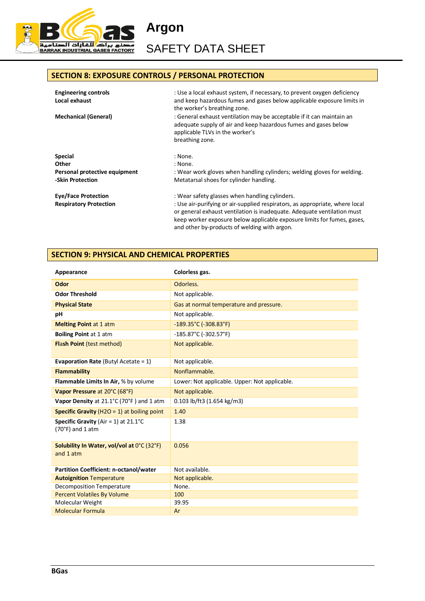

**Argon**  SAFETY DATA SHEET

## **SECTION 8: EXPOSURE CONTROLS / PERSONAL PROTECTION**

| <b>Engineering controls</b><br>Local exhaust      | : Use a local exhaust system, if necessary, to prevent oxygen deficiency<br>and keep hazardous fumes and gases below applicable exposure limits in<br>the worker's breathing zone.                                                                                                 |
|---------------------------------------------------|------------------------------------------------------------------------------------------------------------------------------------------------------------------------------------------------------------------------------------------------------------------------------------|
| <b>Mechanical (General)</b>                       | : General exhaust ventilation may be acceptable if it can maintain an<br>adequate supply of air and keep hazardous fumes and gases below<br>applicable TLVs in the worker's<br>breathing zone.                                                                                     |
|                                                   |                                                                                                                                                                                                                                                                                    |
| Special                                           | : None.                                                                                                                                                                                                                                                                            |
| Other                                             | : None.                                                                                                                                                                                                                                                                            |
| Personal protective equipment<br>-Skin Protection | : Wear work gloves when handling cylinders; welding gloves for welding.<br>Metatarsal shoes for cylinder handling.                                                                                                                                                                 |
| <b>Eye/Face Protection</b>                        | : Wear safety glasses when handling cylinders.                                                                                                                                                                                                                                     |
| <b>Respiratory Protection</b>                     | : Use air-purifying or air-supplied respirators, as appropriate, where local<br>or general exhaust ventilation is inadequate. Adequate ventilation must<br>keep worker exposure below applicable exposure limits for fumes, gases,<br>and other by-products of welding with argon. |

#### **SECTION 9: PHYSICAL AND CHEMICAL PROPERTIES**

| Appearance                                             | Colorless gas.                                |
|--------------------------------------------------------|-----------------------------------------------|
| Odor                                                   | Odorless.                                     |
| <b>Odor Threshold</b>                                  | Not applicable.                               |
| <b>Physical State</b>                                  | Gas at normal temperature and pressure.       |
| рH                                                     | Not applicable.                               |
| <b>Melting Point at 1 atm</b>                          | $-189.35^{\circ}$ C (-308.83°F)               |
| <b>Boiling Point at 1 atm</b>                          | $-185.87^{\circ}$ C (-302.57 $^{\circ}$ F)    |
| <b>Flash Point (test method)</b>                       | Not applicable.                               |
|                                                        |                                               |
| <b>Evaporation Rate (Butyl Acetate = 1)</b>            | Not applicable.                               |
| Flammability                                           | Nonflammable.                                 |
| <b>Flammable Limits In Air, % by volume</b>            | Lower: Not applicable. Upper: Not applicable. |
| Vapor Pressure at 20°C (68°F)                          | Not applicable.                               |
| Vapor Density at 21.1°C (70°F) and 1 atm               | 0.103 lb/ft3 (1.654 kg/m3)                    |
| <b>Specific Gravity</b> ( $H2O = 1$ ) at boiling point | 1.40                                          |
| <b>Specific Gravity</b> (Air = 1) at $21.1^{\circ}$ C  | 1.38                                          |
| $(70°F)$ and 1 atm                                     |                                               |
| Solubility In Water, vol/vol at 0°C (32°F)             | 0.056                                         |
| and 1 atm                                              |                                               |
|                                                        |                                               |
| <b>Partition Coefficient: n-octanol/water</b>          | Not available.                                |
| <b>Autoignition Temperature</b>                        | Not applicable.                               |
| Decomposition Temperature                              | None.                                         |
| <b>Percent Volatiles By Volume</b>                     | 100                                           |
| Molecular Weight                                       | 39.95                                         |
| <b>Molecular Formula</b>                               | Ar                                            |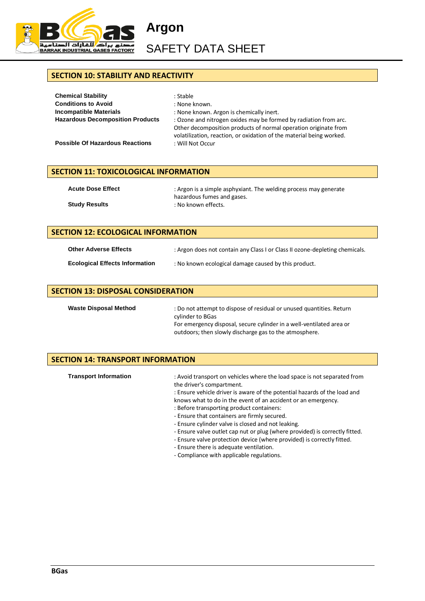

 $\overline{\phantom{a}}$ 

SAFETY DATA SHEET

## **SECTION 10: STABILITY AND REACTIVITY**

| <b>Chemical Stability</b>               | : Stable                                                                                                                                                                                                    |
|-----------------------------------------|-------------------------------------------------------------------------------------------------------------------------------------------------------------------------------------------------------------|
| <b>Conditions to Avoid</b>              | : None known.                                                                                                                                                                                               |
| <b>Incompatible Materials</b>           | : None known. Argon is chemically inert.                                                                                                                                                                    |
| <b>Hazardous Decomposition Products</b> | : Ozone and nitrogen oxides may be formed by radiation from arc.<br>Other decomposition products of normal operation originate from<br>volatilization, reaction, or oxidation of the material being worked. |
| <b>Possible Of Hazardous Reactions</b>  | : Will Not Occur                                                                                                                                                                                            |

#### **SECTION 11: TOXICOLOGICAL INFORMATION**

| <b>Acute Dose Effect</b> | : Argon is a simple asphyxiant. The welding process may generate |  |
|--------------------------|------------------------------------------------------------------|--|
|                          | hazardous fumes and gases.                                       |  |
| <b>Study Results</b>     | : No known effects.                                              |  |

| <b>SECTION 12: ECOLOGICAL INFORMATION</b> |                                                                             |
|-------------------------------------------|-----------------------------------------------------------------------------|
| <b>Other Adverse Effects</b>              | : Argon does not contain any Class I or Class II ozone-depleting chemicals. |
| <b>Ecological Effects Information</b>     | : No known ecological damage caused by this product.                        |

| <b>SECTION 13: DISPOSAL CONSIDERATION</b> |                                                                                                                                                                                                                            |
|-------------------------------------------|----------------------------------------------------------------------------------------------------------------------------------------------------------------------------------------------------------------------------|
| <b>Waste Disposal Method</b>              | : Do not attempt to dispose of residual or unused quantities. Return<br>cylinder to BGas<br>For emergency disposal, secure cylinder in a well-ventilated area or<br>outdoors; then slowly discharge gas to the atmosphere. |

## **SECTION 14: TRANSPORT INFORMATION**

| <b>Transport Information</b> | : Avoid transport on vehicles where the load space is not separated from<br>the driver's compartment.<br>: Ensure vehicle driver is aware of the potential hazards of the load and<br>knows what to do in the event of an accident or an emergency.<br>: Before transporting product containers:<br>- Ensure that containers are firmly secured.<br>- Ensure cylinder valve is closed and not leaking.<br>- Ensure valve outlet cap nut or plug (where provided) is correctly fitted.<br>- Ensure valve protection device (where provided) is correctly fitted.<br>- Ensure there is adequate ventilation. |
|------------------------------|------------------------------------------------------------------------------------------------------------------------------------------------------------------------------------------------------------------------------------------------------------------------------------------------------------------------------------------------------------------------------------------------------------------------------------------------------------------------------------------------------------------------------------------------------------------------------------------------------------|
|                              | - Compliance with applicable regulations.                                                                                                                                                                                                                                                                                                                                                                                                                                                                                                                                                                  |